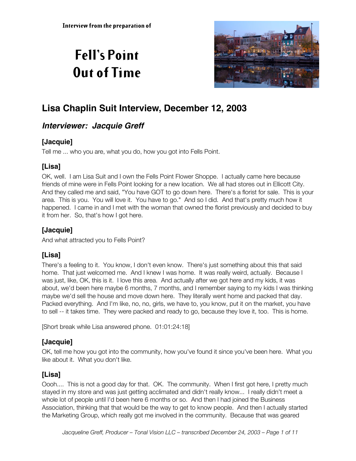# **Fell's Point Out of Time**



## **Lisa Chaplin Suit Interview, December 12, 2003**

## **Interviewer: Jacquie Greff**

## **[Jacquie]**

Tell me ... who you are, what you do, how you got into Fells Point.

## **[Lisa]**

OK, well. I am Lisa Suit and I own the Fells Point Flower Shoppe. I actually came here because friends of mine were in Fells Point looking for a new location. We all had stores out in Ellicott City. And they called me and said, "You have GOT to go down here. There's a florist for sale. This is your area. This is you. You will love it. You have to go." And so I did. And that's pretty much how it happened. I came in and I met with the woman that owned the florist previously and decided to buy it from her. So, that's how I got here.

## **[Jacquie]**

And what attracted you to Fells Point?

## **[Lisa]**

There's a feeling to it. You know, I don't even know. There's just something about this that said home. That just welcomed me. And I knew I was home. It was really weird, actually. Because I was just, like, OK, this is it. I love this area. And actually after we got here and my kids, it was about, we'd been here maybe 6 months, 7 months, and I remember saying to my kids I was thinking maybe we'd sell the house and move down here. They literally went home and packed that day. Packed everything. And I'm like, no, no, girls, we have to, you know, put it on the market, you have to sell -- it takes time. They were packed and ready to go, because they love it, too. This is home.

[Short break while Lisa answered phone. 01:01:24:18]

## **[Jacquie]**

OK, tell me how you got into the community, how you've found it since you've been here. What you like about it. What you don't like.

## **[Lisa]**

Oooh.... This is not a good day for that. OK. The community. When I first got here, I pretty much stayed in my store and was just getting acclimated and didn't really know... I really didn't meet a whole lot of people until I'd been here 6 months or so. And then I had joined the Business Association, thinking that that would be the way to get to know people. And then I actually started the Marketing Group, which really got me involved in the community. Because that was geared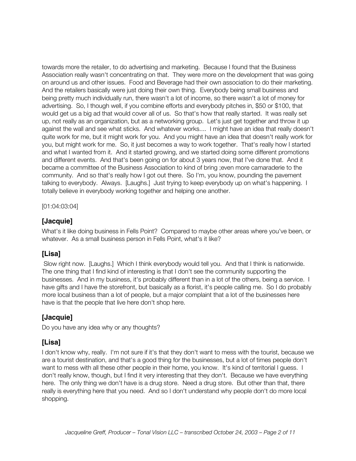towards more the retailer, to do advertising and marketing. Because I found that the Business Association really wasn't concentrating on that. They were more on the development that was going on around us and other issues. Food and Beverage had their own association to do their marketing. And the retailers basically were just doing their own thing. Everybody being small business and being pretty much individually run, there wasn't a lot of income, so there wasn't a lot of money for advertising. So, I though well, if you combine efforts and everybody pitches in, \$50 or \$100, that would get us a big ad that would cover all of us. So that's how that really started. It was really set up, not really as an organization, but as a networking group. Let's just get together and throw it up against the wall and see what sticks. And whatever works.... I might have an idea that really doesn't quite work for me, but it might work for you. And you might have an idea that doesn't really work for you, but might work for me. So, it just becomes a way to work together. That's really how I started and what I wanted from it. And it started growing, and we started doing some different promotions and different events. And that's been going on for about 3 years now, that I've done that. And it became a committee of the Business Association to kind of bring ;even more camaraderie to the community. And so that's really how I got out there. So I'm, you know, pounding the pavement talking to everybody. Always. [Laughs.] Just trying to keep everybody up on what's happening. I totally believe in everybody working together and helping one another.

[01:04:03:04]

#### **[Jacquie]**

What's it like doing business in Fells Point? Compared to maybe other areas where you've been, or whatever. As a small business person in Fells Point, what's it like?

#### **[Lisa]**

 Slow right now. [Laughs.] Which I think everybody would tell you. And that I think is nationwide. The one thing that I find kind of interesting is that I don't see the community supporting the businesses. And in my business, it's probably different than in a lot of the others, being a service. I have gifts and I have the storefront, but basically as a florist, it's people calling me. So I do probably more local business than a lot of people, but a major complaint that a lot of the businesses here have is that the people that live here don't shop here.

## **[Jacquie]**

Do you have any idea why or any thoughts?

## **[Lisa]**

I don't know why, really. I'm not sure if it's that they don't want to mess with the tourist, because we are a tourist destination, and that's a good thing for the businesses, but a lot of times people don't want to mess with all these other people in their home, you know. It's kind of territorial I guess. I don't really know, though, but I find it very interesting that they don't. Because we have everything here. The only thing we don't have is a drug store. Need a drug store. But other than that, there really is everything here that you need. And so I don't understand why people don't do more local shopping.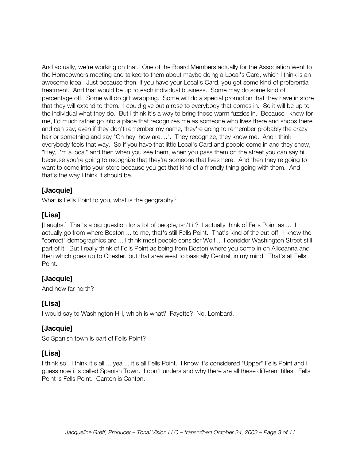And actually, we're working on that. One of the Board Members actually for the Association went to the Homeowners meeting and talked to them about maybe doing a Local's Card, which I think is an awesome idea. Just because then, if you have your Local's Card, you get some kind of preferential treatment. And that would be up to each individual business. Some may do some kind of percentage off. Some will do gift wrapping. Some will do a special promotion that they have in store that they will extend to them. I could give out a rose to everybody that comes in. So it will be up to the individual what they do. But I think it's a way to bring those warm fuzzies in. Because I know for me, I'd much rather go into a place that recognizes me as someone who lives there and shops there and can say, even if they don't remember my name, they're going to remember probably the crazy hair or something and say "Oh hey, how are....". They recognize, they know me. And I think everybody feels that way. So if you have that little Local's Card and people come in and they show, "Hey, I'm a local" and then when you see them, when you pass them on the street you can say hi, because you're going to recognize that they're someone that lives here. And then they're going to want to come into your store because you get that kind of a friendly thing going with them. And that's the way I think it should be.

#### **[Jacquie]**

What is Fells Point to you, what is the geography?

#### **[Lisa]**

[Laughs.] That's a big question for a lot of people, isn't it? I actually think of Fells Point as ... I actually go from where Boston ... to me, that's still Fells Point. That's kind of the cut-off. I know the "correct" demographics are ... I think most people consider Wolf... I consider Washington Street still part of it. But I really think of Fells Point as being from Boston where you come in on Aliceanna and then which goes up to Chester, but that area west to basically Central, in my mind. That's all Fells Point.

#### **[Jacquie]**

And how far north?

#### **[Lisa]**

I would say to Washington Hill, which is what? Fayette? No, Lombard.

#### **[Jacquie]**

So Spanish town is part of Fells Point?

#### **[Lisa]**

I think so. I think it's all ... yea ... it's all Fells Point. I know it's considered "Upper" Fells Point and I guess now it's called Spanish Town. I don't understand why there are all these different titles. Fells Point is Fells Point. Canton is Canton.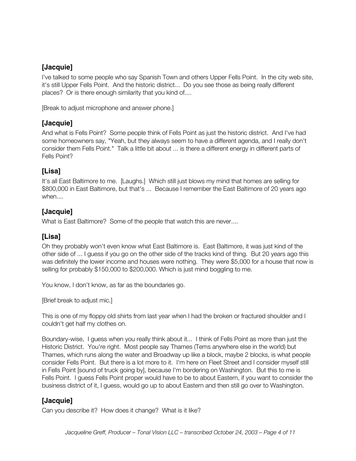## **[Jacquie]**

I've talked to some people who say Spanish Town and others Upper Fells Point. In the city web site, it's still Upper Fells Point. And the historic district... Do you see those as being really different places? Or is there enough similarity that you kind of....

[Break to adjust microphone and answer phone.]

#### **[Jacquie]**

And what is Fells Point? Some people think of Fells Point as just the historic district. And I've had some homeowners say, "Yeah, but they always seem to have a different agenda, and I really don't consider them Fells Point." Talk a little bit about ... is there a different energy in different parts of Fells Point?

## **[Lisa]**

It's all East Baltimore to me. [Laughs.] Which still just blows my mind that homes are selling for \$800,000 in East Baltimore, but that's ... Because I remember the East Baltimore of 20 years ago when....

#### **[Jacquie]**

What is East Baltimore? Some of the people that watch this are never....

## **[Lisa]**

Oh they probably won't even know what East Baltimore is. East Baltimore, it was just kind of the other side of ... I guess if you go on the other side of the tracks kind of thing. But 20 years ago this was definitely the lower income and houses were nothing. They were \$5,000 for a house that now is selling for probably \$150,000 to \$200,000. Which is just mind boggling to me.

You know, I don't know, as far as the boundaries go.

[Brief break to adjust mic.]

This is one of my floppy old shirts from last year when I had the broken or fractured shoulder and I couldn't get half my clothes on.

Boundary-wise, I guess when you really think about it... I think of Fells Point as more than just the Historic District. You're right. Most people say Thames (Tems anywhere else in the world) but Thames, which runs along the water and Broadway up like a block, maybe 2 blocks, is what people consider Fells Point. But there is a lot more to it. I'm here on Fleet Street and I consider myself still in Fells Point [sound of truck going by], because I'm bordering on Washington. But this to me is Fells Point. I guess Fells Point proper would have to be to about Eastern, if you want to consider the business district of it, I guess, would go up to about Eastern and then still go over to Washington.

## **[Jacquie]**

Can you describe it? How does it change? What is it like?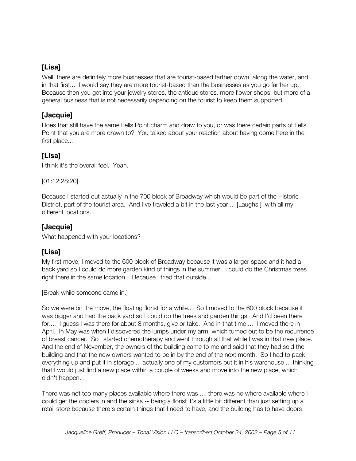## **[Lisa]**

Well, there are definitely more businesses that are tourist-based farther down, along the water, and in that first... I would say they are more tourist-based than the businesses as you go farther up. Because then you get into your jewelry stores, the antique stores, more flower shops, but more of a general business that is not necessarily depending on the tourist to keep them supported.

#### **[Jacquie]**

Does that still have the same Fells Point charm and draw to you, or was there certain parts of Fells Point that you are more drawn to? You talked about your reaction about having come here in the first place...

#### **[Lisa]**

I think it's the overall feel. Yeah.

[01:12:28:20]

Because I started out actually in the 700 block of Broadway which would be part of the Historic District, part of the tourist area. And I've traveled a bit in the last year... [Laughs.] with all my different locations...

## **[Jacquie]**

What happened with your locations?

## **[Lisa]**

My first move, I moved to the 600 block of Broadway because it was a larger space and it had a back yard so I could do more garden kind of things in the summer. I could do the Christmas trees right there in the same location. Because I tried that outside...

[Break while someone came in.]

So we were on the move, the floating florist for a while... So I moved to the 600 block because it was bigger and had the back yard so I could do the trees and garden things. And I'd been there for.... I guess I was there for about 8 months, give or take. And in that time ... I moved there in April. In May was when I discovered the lumps under my arm, which turned out to be the recurrence of breast cancer. So I started chemotherapy and went through all that while I was in that new place. And the end of November, the owners of the building came to me and said that they had sold the building and that the new owners wanted to be in by the end of the next month. So I had to pack everything up and put it in storage ... actually one of my customers put it in his warehouse ... thinking that I would just find a new place within a couple of weeks and move into the new place, which didn't happen.

There was not too many places available where there was .... there was no where available where I could get the coolers in and the sinks -- being a florist it's a little bit different than just setting up a retail store because there's certain things that I need to have, and the building has to have doors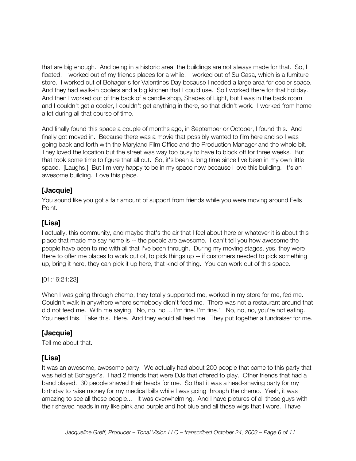that are big enough. And being in a historic area, the buildings are not always made for that. So, I floated. I worked out of my friends places for a while. I worked out of Su Casa, which is a furniture store. I worked out of Bohager's for Valentines Day because I needed a large area for cooler space. And they had walk-in coolers and a big kitchen that I could use. So I worked there for that holiday. And then I worked out of the back of a candle shop, Shades of Light, but I was in the back room and I couldn't get a cooler, I couldn't get anything in there, so that didn't work. I worked from home a lot during all that course of time.

And finally found this space a couple of months ago, in September or October, I found this. And finally got moved in. Because there was a movie that possibly wanted to film here and so I was going back and forth with the Maryland Film Office and the Production Manager and the whole bit. They loved the location but the street was way too busy to have to block off for three weeks. But that took some time to figure that all out. So, it's been a long time since I've been in my own little space. [Laughs.] But I'm very happy to be in my space now because I love this building. It's an awesome building. Love this place.

#### **[Jacquie]**

You sound like you got a fair amount of support from friends while you were moving around Fells Point.

#### **[Lisa]**

I actually, this community, and maybe that's the air that I feel about here or whatever it is about this place that made me say home is -- the people are awesome. I can't tell you how awesome the people have been to me with all that I've been through. During my moving stages, yes, they were there to offer me places to work out of, to pick things up -- if customers needed to pick something up, bring it here, they can pick it up here, that kind of thing. You can work out of this space.

#### [01:16:21:23]

When I was going through chemo, they totally supported me, worked in my store for me, fed me. Couldn't walk in anywhere where somebody didn't feed me. There was not a restaurant around that did not feed me. With me saying, "No, no, no ... I'm fine. I'm fine." No, no, no, you're not eating. You need this. Take this. Here. And they would all feed me. They put together a fundraiser for me.

#### **[Jacquie]**

Tell me about that.

## **[Lisa]**

It was an awesome, awesome party. We actually had about 200 people that came to this party that was held at Bohager's. I had 2 friends that were DJs that offered to play. Other friends that had a band played. 30 people shaved their heads for me. So that it was a head-shaving party for my birthday to raise money for my medical bills while I was going through the chemo. Yeah, it was amazing to see all these people... It was overwhelming. And I have pictures of all these guys with their shaved heads in my like pink and purple and hot blue and all those wigs that I wore. I have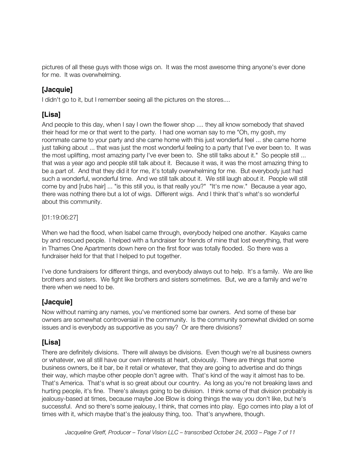pictures of all these guys with those wigs on. It was the most awesome thing anyone's ever done for me. It was overwhelming.

## **[Jacquie]**

I didn't go to it, but I remember seeing all the pictures on the stores....

## **[Lisa]**

And people to this day, when I say I own the flower shop .... they all know somebody that shaved their head for me or that went to the party. I had one woman say to me "Oh, my gosh, my roommate came to your party and she came home with this just wonderful feel ... she came home just talking about ... that was just the most wonderful feeling to a party that I've ever been to. It was the most uplifting, most amazing party I've ever been to. She still talks about it." So people still ... that was a year ago and people still talk about it. Because it was, it was the most amazing thing to be a part of. And that they did it for me, it's totally overwhelming for me. But everybody just had such a wonderful, wonderful time. And we still talk about it. We still laugh about it. People will still come by and [rubs hair] ... "is this still you, is that really you?" "It's me now." Because a year ago, there was nothing there but a lot of wigs. Different wigs. And I think that's what's so wonderful about this community.

[01:19:06:27]

When we had the flood, when Isabel came through, everybody helped one another. Kayaks came by and rescued people. I helped with a fundraiser for friends of mine that lost everything, that were in Thames One Apartments down here on the first floor was totally flooded. So there was a fundraiser held for that that I helped to put together.

I've done fundraisers for different things, and everybody always out to help. It's a family. We are like brothers and sisters. We fight like brothers and sisters sometimes. But, we are a family and we're there when we need to be.

#### **[Jacquie]**

Now without naming any names, you've mentioned some bar owners. And some of these bar owners are somewhat controversial in the community. Is the community somewhat divided on some issues and is everybody as supportive as you say? Or are there divisions?

## **[Lisa]**

There are definitely divisions. There will always be divisions. Even though we're all business owners or whatever, we all still have our own interests at heart, obviously. There are things that some business owners, be it bar, be it retail or whatever, that they are going to advertise and do things their way, which maybe other people don't agree with. That's kind of the way it almost has to be. That's America. That's what is so great about our country. As long as you're not breaking laws and hurting people, it's fine. There's always going to be division. I think some of that division probably is jealousy-based at times, because maybe Joe Blow is doing things the way you don't like, but he's successful. And so there's some jealousy, I think, that comes into play. Ego comes into play a lot of times with it, which maybe that's the jealousy thing, too. That's anywhere, though.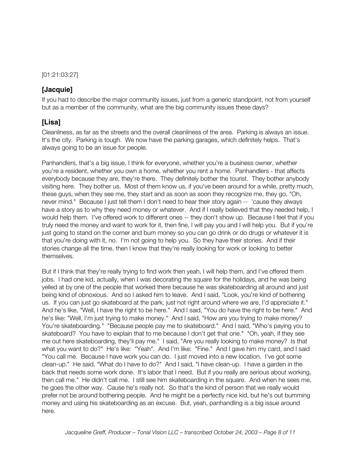[01:21:03:27]

#### **[Jacquie]**

If you had to describe the major community issues, just from a generic standpoint, not from yourself but as a member of the community, what are the big community issues these days?

#### **[Lisa]**

Cleanliness, as far as the streets and the overall cleanliness of the area. Parking is always an issue. It's the city. Parking is tough. We now have the parking garages, which definitely helps. That's always going to be an issue for people.

Panhandlers, that's a big issue, I think for everyone, whether you're a business owner, whether you're a resident, whether you own a home, whether you rent a home. Panhandlers - that affects everybody because they are, they're there. They definitely bother the tourist. They bother anybody visiting here. They bother us. Most of them know us, if you've been around for a while, pretty much, these guys, when they see me, they start and as soon as soon they recognize me, they go, "Oh, never mind." Because I just tell them I don't need to hear their story again -- 'cause they always have a story as to why they need money or whatever. And if I really believed that they needed help, I would help them. I've offered work to different ones -- they don't show up. Because I feel that if you truly need the money and want to work for it, then fine, I will pay you and I will help you. But if you're just going to stand on the corner and bum money so you can go drink or do drugs or whatever it is that you're doing with it, no. I'm not going to help you. So they have their stories. And if their stories change all the time, then I know that they're really looking for work or looking to better themselves.

But if I think that they're really trying to find work then yeah, I will help them, and I've offered them jobs. I had one kid, actually, when I was decorating the square for the holidays, and he was being yelled at by one of the people that worked there because he was skateboarding all around and just being kind of obnoxious. And so I asked him to leave. And I said, "Look, you're kind of bothering us. If you can just go skateboard at the park, just not right around where we are, I'd appreciate it." And he's like, "Well, I have the right to be here." And I said, "You do have the right to be here." And he's like: "Well, I'm just trying to make money." And I said, "How are you trying to make money? You're skateboarding." "Because people pay me to skateboard." And I said, "Who's paying you to skateboard? You have to explain that to me because I don't get that one." "Oh, yeah, if they see me out here skateboarding, they'll pay me." I said, "Are you really looking to make money? Is that what you want to do?" He's like: "Yeah". And I'm like: "Fine." And I gave him my card, and I said "You call me. Because I have work you can do. I just moved into a new location. I've got some clean-up." He said, "What do I have to do?" And I said, "I have clean-up. I have a garden in the back that needs some work done. It's labor that I need. But if you really are serious about working, then call me." He didn't call me. I still see him skateboarding in the square. And when he sees me, he goes the other way. Cause he's really not. So that's the kind of person that we really would prefer not be around bothering people. And he might be a perfectly nice kid, but he's out bumming money and using his skateboarding as an excuse. But, yeah, panhandling is a big issue around here.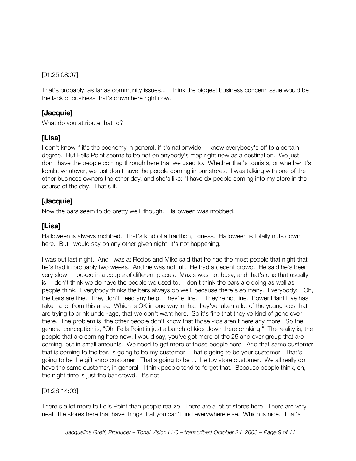[01:25:08:07]

That's probably, as far as community issues... I think the biggest business concern issue would be the lack of business that's down here right now.

#### **[Jacquie]**

What do you attribute that to?

#### **[Lisa]**

I don't know if it's the economy in general, if it's nationwide. I know everybody's off to a certain degree. But Fells Point seems to be not on anybody's map right now as a destination. We just don't have the people coming through here that we used to. Whether that's tourists, or whether it's locals, whatever, we just don't have the people coming in our stores. I was talking with one of the other business owners the other day, and she's like: "I have six people coming into my store in the course of the day. That's it."

#### **[Jacquie]**

Now the bars seem to do pretty well, though. Halloween was mobbed.

## **[Lisa]**

Halloween is always mobbed. That's kind of a tradition, I guess. Halloween is totally nuts down here. But I would say on any other given night, it's not happening.

I was out last night. And I was at Rodos and Mike said that he had the most people that night that he's had in probably two weeks. And he was not full. He had a decent crowd. He said he's been very slow. I looked in a couple of different places. Max's was not busy, and that's one that usually is. I don't think we do have the people we used to. I don't think the bars are doing as well as people think. Everybody thinks the bars always do well, because there's so many. Everybody: "Oh, the bars are fine. They don't need any help. They're fine." They're not fine. Power Plant Live has taken a lot from this area. Which is OK in one way in that they've taken a lot of the young kids that are trying to drink under-age, that we don't want here. So it's fine that they've kind of gone over there. The problem is, the other people don't know that those kids aren't here any more. So the general conception is, "Oh, Fells Point is just a bunch of kids down there drinking." The reality is, the people that are coming here now, I would say, you've got more of the 25 and over group that are coming, but in small amounts. We need to get more of those people here. And that same customer that is coming to the bar, is going to be my customer. That's going to be your customer. That's going to be the gift shop customer. That's going to be ... the toy store customer. We all really do have the same customer, in general. I think people tend to forget that. Because people think, oh, the night time is just the bar crowd. It's not.

#### [01:28:14:03]

There's a lot more to Fells Point than people realize. There are a lot of stores here. There are very neat little stores here that have things that you can't find everywhere else. Which is nice. That's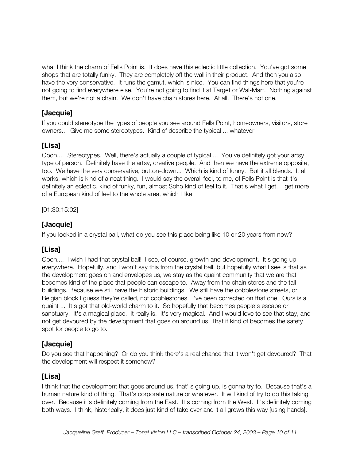what I think the charm of Fells Point is. It does have this eclectic little collection. You've got some shops that are totally funky. They are completely off the wall in their product. And then you also have the very conservative. It runs the gamut, which is nice. You can find things here that you're not going to find everywhere else. You're not going to find it at Target or Wal-Mart. Nothing against them, but we're not a chain. We don't have chain stores here. At all. There's not one.

## **[Jacquie]**

If you could stereotype the types of people you see around Fells Point, homeowners, visitors, store owners... Give me some stereotypes. Kind of describe the typical ... whatever.

## **[Lisa]**

Oooh.... Stereotypes. Well, there's actually a couple of typical ... You've definitely got your artsy type of person. Definitely have the artsy, creative people. And then we have the extreme opposite, too. We have the very conservative, button-down... Which is kind of funny. But it all blends. It all works, which is kind of a neat thing. I would say the overall feel, to me, of Fells Point is that it's definitely an eclectic, kind of funky, fun, almost Soho kind of feel to it. That's what I get. I get more of a European kind of feel to the whole area, which I like.

[01:30:15:02]

#### **[Jacquie]**

If you looked in a crystal ball, what do you see this place being like 10 or 20 years from now?

## **[Lisa]**

Oooh.... I wish I had that crystal ball! I see, of course, growth and development. It's going up everywhere. Hopefully, and I won't say this from the crystal ball, but hopefully what I see is that as the development goes on and envelopes us, we stay as the quaint community that we are that becomes kind of the place that people can escape to. Away from the chain stores and the tall buildings. Because we still have the historic buildings. We still have the cobblestone streets, or Belgian block I guess they're called, not cobblestones. I've been corrected on that one. Ours is a quaint ... It's got that old-world charm to it. So hopefully that becomes people's escape or sanctuary. It's a magical place. It really is. It's very magical. And I would love to see that stay, and not get devoured by the development that goes on around us. That it kind of becomes the safety spot for people to go to.

#### **[Jacquie]**

Do you see that happening? Or do you think there's a real chance that it won't get devoured? That the development will respect it somehow?

#### **[Lisa]**

I think that the development that goes around us, that' s going up, is gonna try to. Because that's a human nature kind of thing. That's corporate nature or whatever. It will kind of try to do this taking over. Because it's definitely coming from the East. It's coming from the West. It's definitely coming both ways. I think, historically, it does just kind of take over and it all grows this way [using hands].